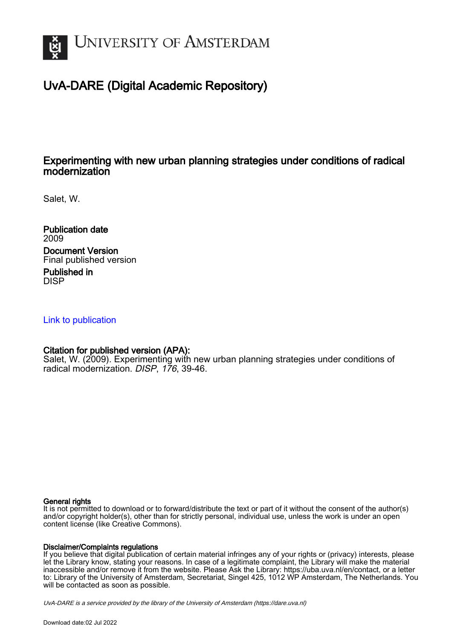

## UvA-DARE (Digital Academic Repository)

## Experimenting with new urban planning strategies under conditions of radical modernization

Salet, W.

Publication date 2009 Document Version Final published version Published in

DISP

### [Link to publication](https://dare.uva.nl/personal/pure/en/publications/experimenting-with-new-urban-planning-strategies-under-conditions-of-radical-modernization(334321f7-d9e8-4548-9ace-980212fe943c).html)

## Citation for published version (APA):

Salet, W. (2009). Experimenting with new urban planning strategies under conditions of radical modernization. DISP, 176, 39-46.

#### General rights

It is not permitted to download or to forward/distribute the text or part of it without the consent of the author(s) and/or copyright holder(s), other than for strictly personal, individual use, unless the work is under an open content license (like Creative Commons).

#### Disclaimer/Complaints regulations

If you believe that digital publication of certain material infringes any of your rights or (privacy) interests, please let the Library know, stating your reasons. In case of a legitimate complaint, the Library will make the material inaccessible and/or remove it from the website. Please Ask the Library: https://uba.uva.nl/en/contact, or a letter to: Library of the University of Amsterdam, Secretariat, Singel 425, 1012 WP Amsterdam, The Netherlands. You will be contacted as soon as possible.

UvA-DARE is a service provided by the library of the University of Amsterdam (http*s*://dare.uva.nl)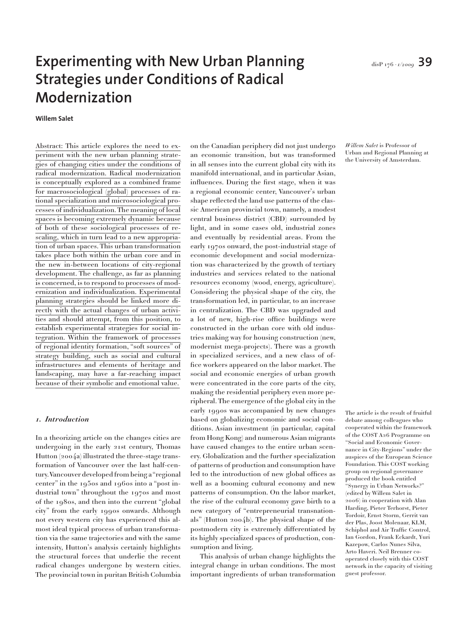# Experimenting with New Urban Planning **disPry6** · 1/2009 **39 Strategies under Conditions of Radical Modernization**

**Willem Salet**

Abstract: This article explores the need to experiment with the new urban planning strategies of changing cities under the conditions of radical modernization. Radical modernization is conceptually explored as a combined frame for macrosociological (global) processes of rational specialization and microsociological processes of individualization. The meaning of local spaces is becoming extremely dynamic because of both of these sociological processes of rescaling, which in turn lead to a new appropriation of urban spaces. This urban transformation takes place both within the urban core and in the new in-between locations of city-regional development. The challenge, as far as planning is concerned, is to respond to processes of modernization and individualization. Experimental planning strategies should be linked more directly with the actual changes of urban activities and should attempt, from this position, to establish experimental strategies for social integration. Within the framework of processes of regional identity formation, "soft sources" of strategy building, such as social and cultural infrastructures and elements of heritage and landscaping, may have a far-reaching impact because of their symbolic and emotional value.

#### *1. Introduction*

In a theorizing article on the changes cities are undergoing in the early 21st century, Thomas Hutton (2004a) illustrated the three-stage transformation of Vancouver over the last half-century. Vancouver developed from being a "regional center" in the 1950s and 1960s into a "post industrial town" throughout the 1970s and most of the 1980s, and then into the current "global city" from the early 1990s onwards. Although not every western city has experienced this almost ideal typical process of urban transformation via the same trajectories and with the same intensity, Hutton's analysis certainly highlights the structural forces that underlie the recent radical changes undergone by western cities. The provincial town in puritan British Columbia on the Canadian periphery did not just undergo an economic transition, but was transformed in all senses into the current global city with its manifold international, and in particular Asian, influences. During the first stage, when it was a regional economic center, Vancouver's urban shape reflected the land use patterns of the classic American provincial town, namely, a modest central business district (CBD) surrounded by light, and in some cases old, industrial zones and eventually by residential areas. From the early 1970s onward, the post-industrial stage of economic development and social modernization was characterized by the growth of tertiary industries and services related to the national resources economy (wood, energy, agriculture). Considering the physical shape of the city, the transformation led, in particular, to an increase in centralization. The CBD was upgraded and a lot of new, high-rise office buildings were constructed in the urban core with old industries making way for housing construction (new, modernist mega-projects). There was a growth in specialized services, and a new class of office workers appeared on the labor market. The social and economic energies of urban growth were concentrated in the core parts of the city, making the residential periphery even more peripheral. The emergence of the global city in the early 1990s was accompanied by new changes based on globalizing economic and social conditions. Asian investment (in particular, capital from Hong Kong) and numerous Asian migrants have caused changes to the entire urban scenery. Globalization and the further specialization of patterns of production and consumption have led to the introduction of new global offices as well as a booming cultural economy and new patterns of consumption. On the labor market, the rise of the cultural economy gave birth to a new category of "entrepreneurial transnationals" (Hutton 2004b). The physical shape of the postmodern city is extremely differentiated by its highly specialized spaces of production, consumption and living.

This analysis of urban change highlights the integral change in urban conditions. The most important ingredients of urban transformation *Willem Salet* is Professor of Urban and Regional Planning at the University of Amsterdam.

The article is the result of fruitful debate among colleagues who cooperated within the framework of the COST A26 Programme on "Social and Economic Governance in City-Regions" under the auspices of the European Science Foundation. This COST working group on regional governance produced the book entitled "Synergy in Urban Networks?" (edited by Willem Salet in 2006) in cooperation with Alan Harding, Pieter Terhorst, Pieter Tordoir, Ernst Storm, Gerrit van der Plas, Joost Molenaar, KLM, Schiphol and Air Traffic Control, Ian Gordon, Frank Eckardt, Yuri Kazepow, Carlos Nunes Silva, Arto Haveri. Neil Brenner cooperated closely with this COST network in the capacity of visiting guest professor.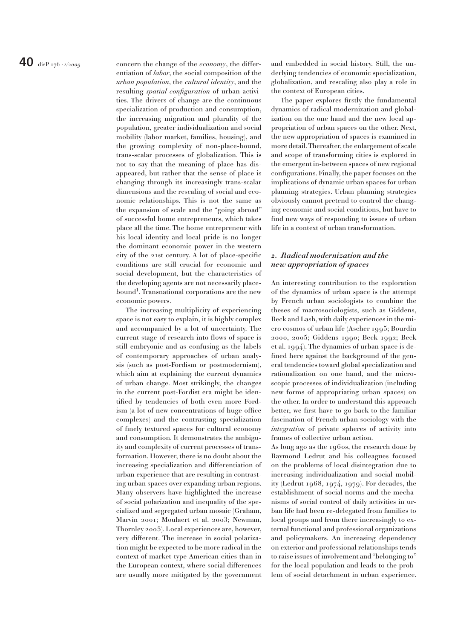**40** disP<sub>176</sub> · *i*/2009 concern the change of the *economy*, the differentiation of *labor*, the social composition of the *urban population*, the *cultural identity*, and the resulting *spatial configuration* of urban activities. The drivers of change are the continuous specialization of production and consumption, the increasing migration and plurality of the population, greater individualization and social mobility (labor market, families, housing), and the growing complexity of non-place-bound, trans-scalar processes of globalization. This is not to say that the meaning of place has disappeared, but rather that the sense of place is changing through its increasingly trans-scalar dimensions and the rescaling of social and economic relationships. This is not the same as the expansion of scale and the "going abroad" of successful home entrepreneurs, which takes place all the time. The home entrepreneur with his local identity and local pride is no longer the dominant economic power in the western city of the 21st century. A lot of place-specific conditions are still crucial for economic and social development, but the characteristics of the developing agents are not necessarily placebound<sup>1</sup>. Transnational corporations are the new economic powers.

> The increasing multiplicity of experiencing space is not easy to explain, it is highly complex and accompanied by a lot of uncertainty. The current stage of research into flows of space is still embryonic and as confusing as the labels of contemporary approaches of urban analysis (such as post-Fordism or postmodernism), which aim at explaining the current dynamics of urban change. Most strikingly, the changes in the current post-Fordist era might be identified by tendencies of both even more Fordism (a lot of new concentrations of huge office complexes) and the contrasting specialization of finely textured spaces for cultural economy and consumption. It demonstrates the ambiguity and complexity of current processes of transformation. However, there is no doubt about the increasing specialization and differentiation of urban experience that are resulting in contrasting urban spaces over expanding urban regions. Many observers have highlighted the increase of social polarization and inequality of the specialized and segregated urban mosaic (Graham, Marvin 2001; Moulaert et al. 2003; Newman, Thornley 2005). Local experiences are, however, very different. The increase in social polarization might be expected to be more radical in the context of market-type American cities than in the European context, where social differences are usually more mitigated by the government

and embedded in social history. Still, the underlying tendencies of economic specialization, globalization, and rescaling also play a role in the context of European cities.

The paper explores firstly the fundamental dynamics of radical modernization and globalization on the one hand and the new local appropriation of urban spaces on the other. Next, the new appropriation of spaces is examined in more detail. Thereafter, the enlargement of scale and scope of transforming cities is explored in the emergent in-between spaces of new regional configurations. Finally, the paper focuses on the implications of dynamic urban spaces for urban planning strategies. Urban planning strategies obviously cannot pretend to control the changing economic and social conditions, but have to find new ways of responding to issues of urban life in a context of urban transformation.

#### *2. Radical modernization and the new appropriation of spaces*

An interesting contribution to the exploration of the dynamics of urban space is the attempt by French urban sociologists to combine the theses of macrosociologists, such as Giddens, Beck and Lash, with daily experiences in the micro cosmos of urban life (Ascher 1995; Bourdin 2000, 2005; Giddens 1990; Beck 1992; Beck et al. 1994). The dynamics of urban space is defined here against the background of the general tendencies toward global specialization and rationalization on one hand, and the microscopic processes of individualization (including new forms of appropriating urban spaces) on the other. In order to understand this approach better, we first have to go back to the familiar fascination of French urban sociology with the *integration* of private spheres of activity into frames of collective urban action.

As long ago as the 1960s, the research done by Raymond Ledrut and his colleagues focused on the problems of local disintegration due to increasing individualization and social mobility (Ledrut 1968, 1974, 1979). For decades, the establishment of social norms and the mechanisms of social control of daily activities in urban life had been re-delegated from families to local groups and from there increasingly to external functional and professional organizations and policymakers. An increasing dependency on exterior and professional relationships tends to raise issues of involvement and "belonging to" for the local population and leads to the problem of social detachment in urban experience.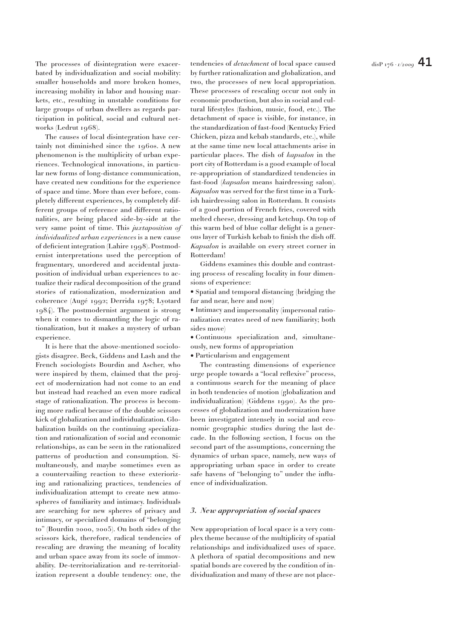The processes of disintegration were exacer- tendencies of *detachment* of local space caused  $\qquad \qquad \text{disP 176 · 1/2009}$   $\textbf{41}$ bated by individualization and social mobility: smaller households and more broken homes, increasing mobility in labor and housing markets, etc., resulting in unstable conditions for large groups of urban dwellers as regards participation in political, social and cultural networks (Ledrut 1968).

The causes of local disintegration have certainly not diminished since the 1960s. A new phenomenon is the multiplicity of urban experiences. Technological innovations, in particular new forms of long-distance communication, have created new conditions for the experience of space and time. More than ever before, completely different experiences, by completely different groups of reference and different rationalities, are being placed side-by-side at the very same point of time. This *juxtaposition of individualized urban experiences* is a new cause of deficient integration (Lahire 1998). Postmodernist interpretations used the perception of fragmentary, unordered and accidental juxtaposition of individual urban experiences to actualize their radical decomposition of the grand stories of rationalization, modernization and coherence (Augé 1992; Derrida 1978; Lyotard 1984). The postmodernist argument is strong when it comes to dismantling the logic of rationalization, but it makes a mystery of urban experience.

It is here that the above-mentioned sociologists disagree. Beck, Giddens and Lash and the French sociologists Bourdin and Ascher, who were inspired by them, claimed that the project of modernization had not come to an end but instead had reached an even more radical stage of rationalization. The process is becoming more radical because of the double scissors kick of globalization and individualization. Globalization builds on the continuing specialization and rationalization of social and economic relationships, as can be seen in the rationalized patterns of production and consumption. Simultaneously, and maybe sometimes even as a countervailing reaction to these exteriorizing and rationalizing practices, tendencies of individualization attempt to create new atmospheres of familiarity and intimacy. Individuals are searching for new spheres of privacy and intimacy, or specialized domains of "belonging to" (Bourdin 2000, 2005). On both sides of the scissors kick, therefore, radical tendencies of rescaling are drawing the meaning of locality and urban space away from its socle of immovability. De-territorialization and re-territorialization represent a double tendency: one, the

by further rationalization and globalization, and two, the processes of new local appropriation. These processes of rescaling occur not only in economic production, but also in social and cultural lifestyles (fashion, music, food, etc.). The detachment of space is visible, for instance, in the standardization of fast-food (Kentucky Fried Chicken, pizza and kebab standards, etc.), while at the same time new local attachments arise in particular places. The dish of *kapsalon* in the port city of Rotterdam is a good example of local re-appropriation of standardized tendencies in fast-food (*kapsalon* means hairdressing salon). *Kapsalon* was served for the first time in a Turkish hairdressing salon in Rotterdam. It consists of a good portion of French fries, covered with melted cheese, dressing and ketchup. On top of this warm bed of blue collar delight is a generous layer of Turkish kebab to finish the dish off. *Kapsalon* is available on every street corner in Rotterdam!

Giddens examines this double and contrasting process of rescaling locality in four dimensions of experience:

• Spatial and temporal distancing (bridging the far and near, here and now)

• Intimacy and impersonality (impersonal rationalization creates need of new familiarity; both sides move)

• Continuous specialization and, simultaneously, new forms of appropriation

• Particularism and engagement

The contrasting dimensions of experience urge people towards a "local reflexive" process, a continuous search for the meaning of place in both tendencies of motion (globalization and individualization) (Giddens 1990). As the processes of globalization and modernization have been investigated intensely in social and economic geographic studies during the last decade. In the following section, I focus on the second part of the assumptions, concerning the dynamics of urban space, namely, new ways of appropriating urban space in order to create safe havens of "belonging to" under the influence of individualization.

#### *3. New appropriation of social spaces*

New appropriation of local space is a very complex theme because of the multiplicity of spatial relationships and individualized uses of space. A plethora of spatial decompositions and new spatial bonds are covered by the condition of individualization and many of these are not place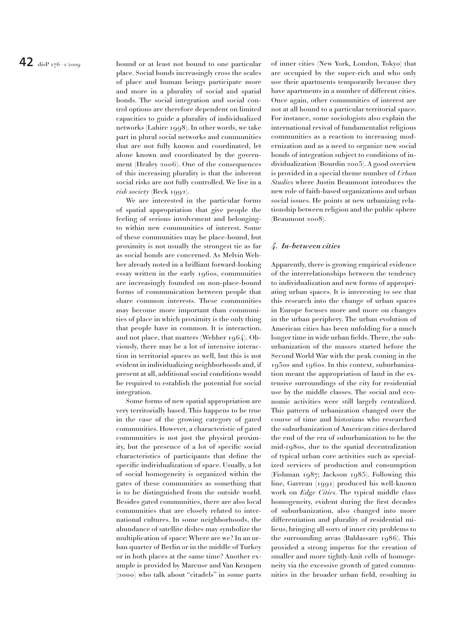**42**disP 176 *· 1/2009* bound or at least not bound to one particular place. Social bonds increasingly cross the scales of place and human beings participate more and more in a plurality of social and spatial bonds. The social integration and social control options are therefore dependent on limited capacities to guide a plurality of individualized networks (Lahire 1998). In other words, we take part in plural social networks and communities that are not fully known and coordinated, let alone known and coordinated by the government (Healey 2006). One of the consequences of this increasing plurality is that the inherent social risks are not fully controlled. We live in a *risk society* (Beck 1992).

> We are interested in the particular forms of spatial appropriation that give people the feeling of serious involvement and belongingto within new communities of interest. Some of these communities may be place-bound, but proximity is not usually the strongest tie as far as social bonds are concerned. As Melvin Webber already noted in a brilliant forward-looking essay written in the early 1960s, communities are increasingly founded on non-place-bound forms of communication between people that share common interests. These communities may become more important than communities of place in which proximity is the only thing that people have in common. It is interaction, and not place, that matters (Webber 1964). Obviously, there may be a lot of intensive interaction in territorial spaces as well, but this is not evident in individualizing neighborhoods and, if present at all, additional social conditions would be required to establish the potential for social integration.

> Some forms of new spatial appropriation are very territorially based. This happens to be true in the case of the growing category of gated communities. However, a characteristic of gated communities is not just the physical proximity, but the presence of a lot of specific social characteristics of participants that define the specific individualization of space. Usually, a lot of social homogeneity is organized within the gates of these communities as something that is to be distinguished from the outside world. Besides gated communities, there are also local communities that are closely related to international cultures. In some neighborhoods, the abundance of satellite dishes may symbolize the multiplication of space: Where are we? In an urban quarter of Berlin or in the middle of Turkey or in both places at the same time? Another example is provided by Marcuse and Van Kempen (2000) who talk about "citadels" in some parts

of inner cities (New York, London, Tokyo) that are occupied by the super-rich and who only use their apartments temporarily because they have apartments in a number of different cities. Once again, other communities of interest are not at all bound to a particular territorial space. For instance, some sociologists also explain the international revival of fundamentalist religious communities as a reaction to increasing modernization and as a need to organize new social bonds of integration subject to conditions of individualization (Bourdin 2005). A good overview is provided in a special theme number of *Urban Studies* where Justin Beaumont introduces the new role of faith-based organizations and urban social issues. He points at new urbanizing relationship between religion and the public sphere (Beaumont 2008).

#### *4. In-between cities*

Apparently, there is growing empirical evidence of the interrelationships between the tendency to individualization and new forms of appropriating urban spaces. It is interesting to see that this research into the change of urban spaces in Europe focuses more and more on changes in the urban periphery. The urban evolution of American cities has been unfolding for a much longer time in wide urban fields. There, the suburbanization of the masses started before the Second World War with the peak coming in the 1950s and 1960s. In this context, suburbanization meant the appropriation of land in the extensive surroundings of the city for residential use by the middle classes. The social and economic activities were still largely centralized. This pattern of urbanization changed over the course of time and historians who researched the suburbanization of American cities declared the end of the era of suburbanization to be the mid-1980s, due to the spatial decentralization of typical urban core activities such as specialized services of production and consumption (Fishman 1987; Jackson 1985). Following this line, Garreau (1991) produced his well-known work on *Edge Cities*. The typical middle class homogeneity, evident during the first decades of suburbanization, also changed into more differentiation and plurality of residential milieus, bringing all sorts of inner city problems to the surrounding areas (Baldassare 1986). This provided a strong impetus for the creation of smaller and more tightly-knit cells of homogeneity via the excessive growth of gated communities in the broader urban field, resulting in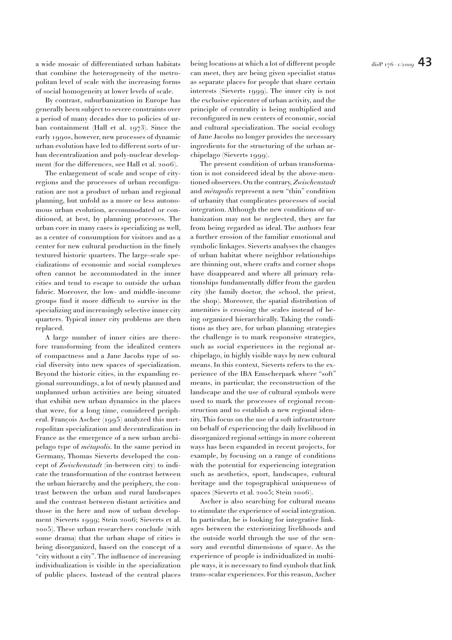a wide mosaic of differentiated urban habitats — being locations at which a lot of different people  $\qquad \qquad \qquad \Delta 3$ that combine the heterogeneity of the metropolitan level of scale with the increasing forms of social homogeneity at lower levels of scale.

By contrast, suburbanization in Europe has generally been subject to severe constraints over a period of many decades due to policies of urban containment (Hall et al. 1973). Since the early 1990s, however, new processes of dynamic urban evolution have led to different sorts of urban decentralization and poly-nuclear development (for the differences, see Hall et al. 2006).

The enlargement of scale and scope of cityregions and the processes of urban reconfiguration are not a product of urban and regional planning, but unfold as a more or less autonomous urban evolution, accommodated or conditioned, at best, by planning processes. The urban core in many cases is specializing as well, as a center of consumption for visitors and as a center for new cultural production in the finely textured historic quarters. The large-scale specializations of economic and social complexes often cannot be accommodated in the inner cities and tend to escape to outside the urban fabric. Moreover, the low- and middle-income groups find it more difficult to survive in the specializing and increasingly selective inner city quarters. Typical inner city problems are then replaced.

A large number of inner cities are therefore transforming from the idealized centers of compactness and a Jane Jacobs type of social diversity into new spaces of specialization. Beyond the historic cities, in the expanding regional surroundings, a lot of newly planned and unplanned urban activities are being situated that exhibit new urban dynamics in the places that were, for a long time, considered peripheral. François Ascher (1995) analyzed this metropolitan specialization and decentralization in France as the emergence of a new urban archipelago type of *métapolis*. In the same period in Germany, Thomas Sieverts developed the concept of *Zwischenstadt* (in-between city) to indicate the transformation of the contrast between the urban hierarchy and the periphery, the contrast between the urban and rural landscapes and the contrast between distant activities and those in the here and now of urban development (Sieverts 1999; Stein 2006; Sieverts et al. 2005). These urban researchers conclude (with some drama) that the urban shape of cities is being disorganized, based on the concept of a "city without a city". The influence of increasing individualization is visible in the specialization of public places. Instead of the central places can meet, they are being given specialist status as separate places for people that share certain interests (Sieverts 1999). The inner city is not the exclusive epicenter of urban activity, and the principle of centrality is being multiplied and reconfigured in new centers of economic, social and cultural specialization. The social ecology of Jane Jacobs no longer provides the necessary ingredients for the structuring of the urban archipelago (Sieverts 1999).

The present condition of urban transformation is not considered ideal by the above-mentioned observers. On the contrary, *Zwischenstadt* and *métapolis* represent a new "thin" condition of urbanity that complicates processes of social integration. Although the new conditions of urbanization may not be neglected, they are far from being regarded as ideal. The authors fear a further erosion of the familiar emotional and symbolic linkages. Sieverts analyses the changes of urban habitat where neighbor relationships are thinning out, where crafts and corner shops have disappeared and where all primary relationships fundamentally differ from the garden city (the family doctor, the school, the priest, the shop). Moreover, the spatial distribution of amenities is crossing the scales instead of being organized hierarchically. Taking the conditions as they are, for urban planning strategies the challenge is to mark responsive strategies, such as social experiences in the regional archipelago, in highly visible ways by new cultural means. In this context, Sieverts refers to the experience of the IBA Emscherpark where "soft" means, in particular, the reconstruction of the landscape and the use of cultural symbols were used to mark the processes of regional reconstruction and to establish a new regional identity. This focus on the use of a soft infrastructure on behalf of experiencing the daily livelihood in disorganized regional settings in more coherent ways has been expanded in recent projects, for example, by focusing on a range of conditions with the potential for experiencing integration such as aesthetics, sport, landscapes, cultural heritage and the topographical uniqueness of spaces (Sieverts et al. 2005; Stein 2006).

Ascher is also searching for cultural means to stimulate the experience of social integration. In particular, he is looking for integrative linkages between the exteriorizing livelihoods and the outside world through the use of the sensory and eventful dimensions of space. As the experience of people is individualized in multiple ways, it is necessary to find symbols that link trans-scalar experiences. For this reason, Ascher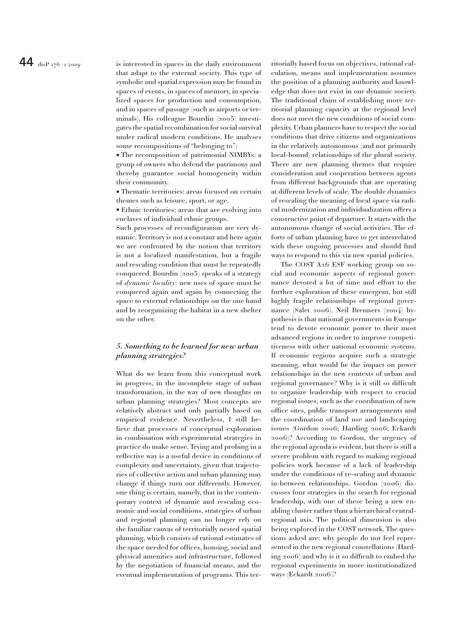**44**disP 176 *· 1/2009* is interested in spaces in the daily environment that adapt to the external society. This type of symbolic and spatial expression may be found in spaces of events, in spaces of memory, in specialized spaces for production and consumption, and in spaces of passage (such as airports or terminals). His colleague Bourdin (2005) investigates the spatial recombination for social survival under radical modern conditions. He analyses some recompositions of "belonging to":

> • The recomposition of patrimonial NIMBYs: a group of owners who defend the patrimony and thereby guarantee social homogeneity within their community.

> • Thematic territories: areas focused on certain themes such as leisure, sport, or age.

> • Ethnic territories: areas that are evolving into enclaves of individual ethnic groups.

> Such processes of reconfiguration are very dynamic. Territory is not a constant and here again we are confronted by the notion that territory is not a localized manifestation, but a fragile and rescaling condition that must be repeatedly conquered. Bourdin (2005) speaks of a strategy of *dynamic locality*: new uses of space must be conquered again and again by connecting the space to external relationships on the one hand and by reorganizing the habitat in a new shelter on the other.

#### *5. Something to be learned for new urban planning strategies?*

What do we learn from this conceptual work in progress, in the incomplete stage of urban transformation, in the way of new thoughts on urban planning strategies? Most concepts are relatively abstract and only partially based on empirical evidence. Nevertheless, I still believe that processes of conceptual exploration in combination with experimental strategies in practice do make sense. Trying and probing in a reflective way is a useful device in conditions of complexity and uncertainty, given that trajectories of collective action and urban planning may change if things turn out differently. However, one thing is certain, namely, that in the contemporary context of dynamic and rescaling economic and social conditions, strategies of urban and regional planning can no longer rely on the familiar canvas of territorially nested spatial planning, which consists of rational estimates of the space needed for offices, housing, social and physical amenities and infrastructure, followed by the negotiation of financial means, and the eventual implementation of programs. This territorially based focus on objectives, rational calculation, means and implementation assumes the position of a planning authority and knowledge that does not exist in our dynamic society. The traditional claim of establishing more territorial planning capacity at the regional level does not meet the new conditions of social complexity. Urban planners have to respect the social conditions that drive citizens and organizations in the relatively autonomous (and not primarily local-bound) relationships of the plural society. There are new planning themes that require consideration and cooperation between agents from different backgrounds that are operating at different levels of scale. The double dynamics of rescaling the meaning of local space via radical modernization and individualization offers a constructive point of departure. It starts with the autonomous change of social activities. The efforts of urban planning have to get interrelated with these ongoing processes and should find ways to respond to this via new spatial policies.

The COST A26 ESF working group on social and economic aspects of regional governance devoted a lot of time and effort to the further exploration of these emergent, but still highly fragile relationships of regional governance (Salet 2006). Neil Brenners (2004) hypothesis is that national governments in Europe tend to devote economic power to their most advanced regions in order to improve competitiveness with other national economic systems. If economic regions acquire such a strategic meaning, what would be the impact on power relationships in the new contexts of urban and regional governance? Why is it still so difficult to organize leadership with respect to crucial regional issues, such as the coordination of new office sites, public transport arrangements and the coordination of land use and landscaping issues (Gordon 2006; Harding 2006; Eckardt 2006)? According to Gordon, the urgency of the regional agenda is evident, but there is still a severe problem with regard to making regional policies work because of a lack of leadership under the conditions of re-scaling and dynamic in-between relationships. Gordon (2006) discusses four strategies in the search for regional leadership, with one of these being a new enabling cluster rather than a hierarchical centralregional axis. The political dimension is also being explored in the COST network. The questions asked are: why people do not feel represented in the new regional constellations (Harding 2006) and why is it so difficult to embed the regional experiments in more institutionalized ways (Eckardt 2006)?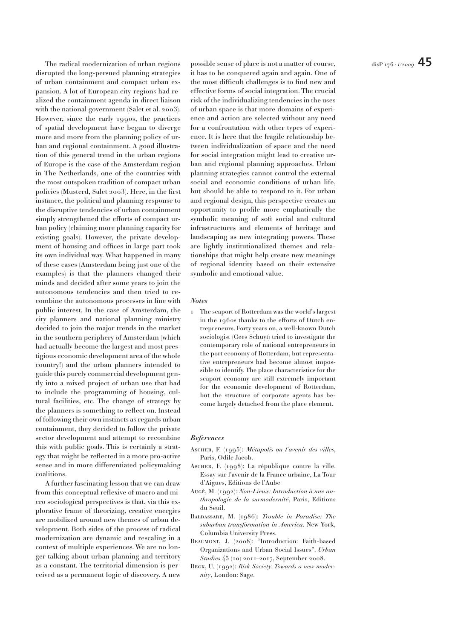disrupted the long-persued planning strategies of urban containment and compact urban expansion. A lot of European city-regions had realized the containment agenda in direct liaison with the national government (Salet et al. 2003). However, since the early 1990s, the practices of spatial development have begun to diverge more and more from the planning policy of urban and regional containment. A good illustration of this general trend in the urban regions of Europe is the case of the Amsterdam region in The Netherlands, one of the countries with the most outspoken tradition of compact urban policies (Musterd, Salet 2003). Here, in the first instance, the political and planning response to the disruptive tendencies of urban containment simply strengthened the efforts of compact urban policy (claiming more planning capacity for existing goals). However, the private development of housing and offices in large part took its own individual way. What happened in many of these cases (Amsterdam being just one of the examples) is that the planners changed their minds and decided after some years to join the autonomous tendencies and then tried to recombine the autonomous processes in line with public interest. In the case of Amsterdam, the city planners and national planning ministry decided to join the major trends in the market in the southern periphery of Amsterdam (which had actually become the largest and most prestigious economic development area of the whole country!) and the urban planners intended to guide this purely commercial development gently into a mixed project of urban use that had to include the programming of housing, cultural facilities, etc. The change of strategy by the planners is something to reflect on. Instead of following their own instincts as regards urban containment, they decided to follow the private sector development and attempt to recombine this with public goals. This is certainly a strategy that might be reflected in a more pro-active sense and in more differentiated policymaking coalitions.

A further fascinating lesson that we can draw from this conceptual reflexive of macro and micro sociological perspectives is that, via this explorative frame of theorizing, creative energies are mobilized around new themes of urban development. Both sides of the process of radical modernization are dynamic and rescaling in a context of multiple experiences. We are no longer talking about urban planning and territory as a constant. The territorial dimension is perceived as a permanent logic of discovery. A new possible sense of place is not a matter of course, it has to be conquered again and again. One of the most difficult challenges is to find new and effective forms of social integration. The crucial risk of the individualizing tendencies in the uses of urban space is that more domains of experience and action are selected without any need for a confrontation with other types of experience. It is here that the fragile relationship between individualization of space and the need for social integration might lead to creative urban and regional planning approaches. Urban planning strategies cannot control the external social and economic conditions of urban life, but should be able to respond to it. For urban and regional design, this perspective creates an opportunity to profile more emphatically the symbolic meaning of soft social and cultural infrastructures and elements of heritage and landscaping as new integrating powers. These are lightly institutionalized themes and relationships that might help create new meanings of regional identity based on their extensive symbolic and emotional value.

#### *Notes*

1 The seaport of Rotterdam was the world's largest in the 1960s thanks to the efforts of Dutch entrepreneurs. Forty years on, a well-known Dutch sociologist (Cees Schuyt) tried to investigate the contemporary role of national entrepreneurs in the port economy of Rotterdam, but representative entrepreneurs had become almost impossible to identify. The place characteristics for the seaport economy are still extremely important for the economic development of Rotterdam, but the structure of corporate agents has become largely detached from the place element.

#### *References*

- Ascher, F. (1995): *Métapolis ou l'avenir des villes*, Paris, Odile Jacob.
- ASCHER, F. (1998): La république contre la ville. Essay sur l'avenir de la France urbaine, La Tour d'Aigues, Editions de l'Aube
- Augé, M. (1992): *Non-Lieux: Introduction à une anthropologie de la surmodernité*, Paris, Editions du Seuil.
- Baldassare, M. (1986): *Trouble in Paradise: The suburban transformation in America*. New York, Columbia University Press.
- Beaumont, J. (2008): "Introduction: Faith-based Organizations and Urban Social Issues". *Urban Studies* 45 (10) 2011–2017, September 2008.
- Beck, U. (1992): *Risk Society. Towards a new modernity*, London: Sage.